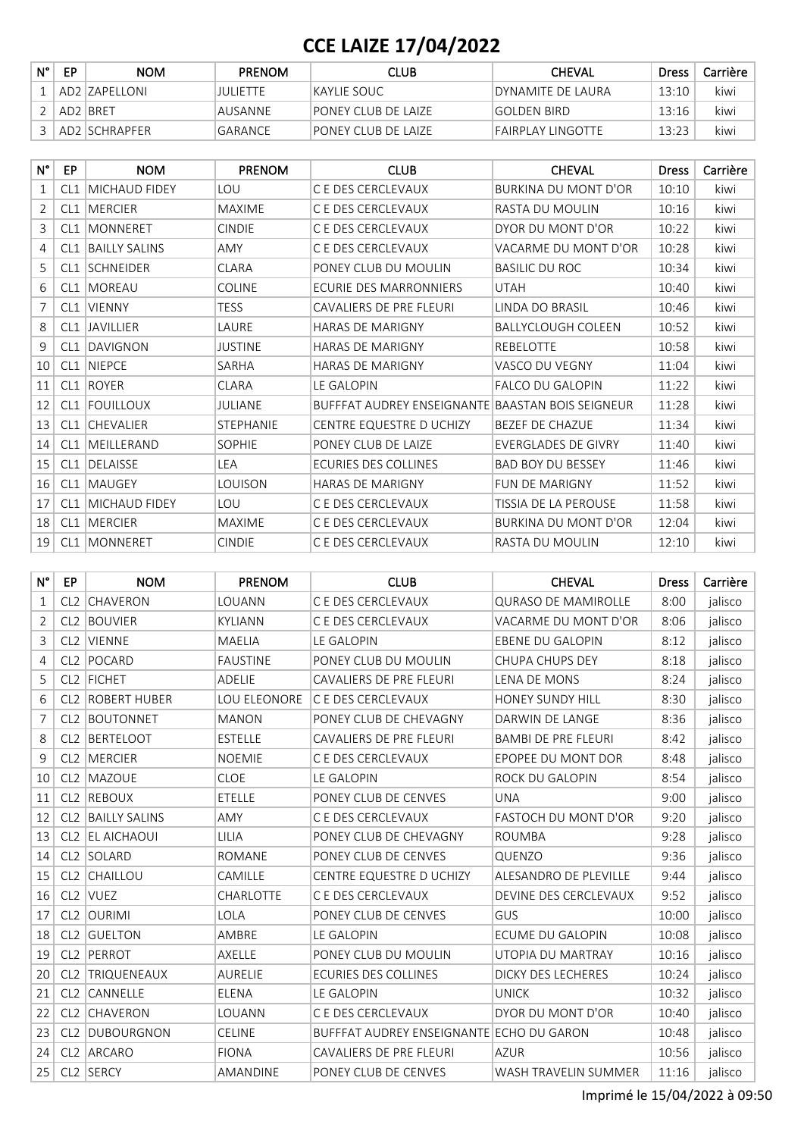## **CCE LAIZE 17/04/2022**

| N° | EP | <b>NOM</b>    | <b>PRENOM</b> | CLUB                  | <b>CHEVAL</b>        | Dress | Carrière |
|----|----|---------------|---------------|-----------------------|----------------------|-------|----------|
|    |    | AD2 ZAPELLONI | IUI IFTTF     | IKAYLIE SOUC-         | IDYNAMITE DE LAURA   | 13:10 | kiwi     |
|    |    | AD2 BRET      | AUSANNE       | PONEY CLUB DE LAIZE   | IGOLDEN BIRD         | 13:16 | kiwi     |
|    |    | AD2 SCHRAPFER | GARANCE       | IPONEY CLUB DE LAIZE. | IFAIRPI AY I INGOTTF | 13.23 | kiwi     |

| N° | EP              | <b>NOM</b>           | <b>PRENOM</b>    | <b>CLUB</b>                       | <b>CHEVAL</b>               | <b>Dress</b> | Carrière |
|----|-----------------|----------------------|------------------|-----------------------------------|-----------------------------|--------------|----------|
| 1  | CL <sub>1</sub> | <b>MICHAUD FIDEY</b> | <b>IOU</b>       | C.F. DES CERCI EVAUX              | <b>BURKINA DU MONT D'OR</b> | 10:10        | kiwi     |
| 2  | CL <sub>1</sub> | <b>IMERCIER</b>      | <b>MAXIME</b>    | C E DES CERCLEVAUX                | RASTA DU MOULIN             | 10:16        | kiwi     |
| 3  | CL1             | <b>MONNERET</b>      | <b>CINDIE</b>    | C E DES CERCLEVAUX                | DYOR DU MONT D'OR           | 10:22        | kiwi     |
| 4  | CL <sub>1</sub> | <b>BAILLY SALINS</b> | AMY              | C E DES CERCLEVAUX                | VACARME DU MONT D'OR        | 10:28        | kiwi     |
| 5  | CL1             | <b>SCHNEIDER</b>     | <b>CLARA</b>     | PONEY CLUB DU MOULIN              | <b>BASILIC DU ROC</b>       | 10:34        | kiwi     |
| 6  | CL <sub>1</sub> | <b>MOREAU</b>        | <b>COLINE</b>    | ECURIE DES MARRONNIERS            | <b>UTAH</b>                 | 10:40        | kiwi     |
| 7  | CL <sub>1</sub> | <b>VIENNY</b>        | <b>TESS</b>      | <b>CAVALIERS DE PRE FLEURI</b>    | LINDA DO BRASIL             | 10:46        | kiwi     |
| 8  | CL1             | <b>JAVILLIER</b>     | LAURE            | <b>HARAS DE MARIGNY</b>           | <b>BALLYCLOUGH COLEEN</b>   | 10:52        | kiwi     |
| 9  | CL <sub>1</sub> | DAVIGNON             | <b>JUSTINE</b>   | <b>HARAS DE MARIGNY</b>           | <b>REBELOTTE</b>            | 10:58        | kiwi     |
| 10 | CL1             | <b>NIEPCE</b>        | <b>SARHA</b>     | <b>HARAS DE MARIGNY</b>           | VASCO DU VEGNY              | 11:04        | kiwi     |
| 11 |                 | <b>CL1 ROYER</b>     | <b>CLARA</b>     | <b>LE GALOPIN</b>                 | <b>FALCO DU GALOPIN</b>     | 11:22        | kiwi     |
| 12 | CL1             | <b>FOUILLOUX</b>     | JULIANE          | <b>BUFFFAT AUDREY ENSEIGNANTE</b> | BAASTAN BOIS SEIGNEUR       | 11:28        | kiwi     |
| 13 | CL <sub>1</sub> | <b>CHEVALIER</b>     | <b>STEPHANIE</b> | <b>CENTRE EQUESTRE D UCHIZY</b>   | <b>BEZEF DE CHAZUE</b>      | 11:34        | kiwi     |
| 14 | CL1             | MEILLERAND           | <b>SOPHIE</b>    | PONEY CLUB DE LAIZE               | EVERGLADES DE GIVRY         | 11:40        | kiwi     |
| 15 | CL1             | <b>DELAISSE</b>      | LEA              | ECURIES DES COLLINES              | <b>BAD BOY DU BESSEY</b>    | 11:46        | kiwi     |
| 16 | CL <sub>1</sub> | <b>IMAUGEY</b>       | LOUISON          | <b>HARAS DE MARIGNY</b>           | <b>FUN DE MARIGNY</b>       | 11:52        | kiwi     |
| 17 | CL <sub>1</sub> | <b>MICHAUD FIDEY</b> | LOU              | C E DES CERCLEVAUX                | TISSIA DE LA PEROUSE        | 11:58        | kiwi     |
| 18 | CL <sub>1</sub> | <b>MERCIER</b>       | <b>MAXIME</b>    | C E DES CERCLEVAUX                | <b>BURKINA DU MONT D'OR</b> | 12:04        | kiwi     |
| 19 |                 | <b>CL1 MONNERET</b>  | <b>CINDIE</b>    | C E DES CERCLEVAUX                | RASTA DU MOULIN             | 12:10        | kiwi     |

| N°           | EP              | <b>NOM</b>               | <b>PRENOM</b>       | <b>CLUB</b>                              | <b>CHEVAL</b>               | <b>Dress</b> | Carrière |
|--------------|-----------------|--------------------------|---------------------|------------------------------------------|-----------------------------|--------------|----------|
| $\mathbf{1}$ | CL <sub>2</sub> | <b>CHAVERON</b>          | LOUANN              | C E DES CERCLEVAUX                       | <b>QURASO DE MAMIROLLE</b>  | 8:00         | jalisco  |
| 2            |                 | <b>CL2 BOUVIER</b>       | <b>KYLIANN</b>      | C E DES CERCLEVAUX                       | VACARME DU MONT D'OR        | 8:06         | jalisco  |
| 3            | CL2             | <b>VIENNE</b>            | <b>MAELIA</b>       | <b>LE GALOPIN</b>                        | <b>EBENE DU GALOPIN</b>     | 8:12         | jalisco  |
| 4            |                 | CL2 POCARD               | <b>FAUSTINE</b>     | PONEY CLUB DU MOULIN                     | CHUPA CHUPS DEY             | 8:18         | jalisco  |
| 5            |                 | CL2 FICHET               | <b>ADELIE</b>       | CAVALIERS DE PRE FLEURI                  | <b>LENA DE MONS</b>         | 8:24         | jalisco  |
| 6            |                 | <b>CL2 ROBERT HUBER</b>  | <b>LOU ELEONORE</b> | C E DES CERCLEVAUX                       | <b>HONEY SUNDY HILL</b>     | 8:30         | jalisco  |
| 7            | CL2             | <b>BOUTONNET</b>         | <b>MANON</b>        | PONEY CLUB DE CHEVAGNY                   | DARWIN DE LANGE             | 8:36         | jalisco  |
| 8            |                 | CL2 BERTELOOT            | <b>ESTELLE</b>      | CAVALIERS DE PRE FLEURI                  | <b>BAMBI DE PRE FLEURI</b>  | 8:42         | jalisco  |
| 9            |                 | CL2 MERCIER              | <b>NOEMIE</b>       | C E DES CERCLEVAUX                       | EPOPEE DU MONT DOR          | 8:48         | jalisco  |
| 10           | CL2             | <b>MAZOUE</b>            | <b>CLOE</b>         | <b>LE GALOPIN</b>                        | ROCK DU GALOPIN             | 8:54         | jalisco  |
| 11           |                 | CL2 REBOUX               | <b>ETELLE</b>       | PONEY CLUB DE CENVES                     | <b>UNA</b>                  | 9:00         | jalisco  |
| 12           |                 | <b>CL2 BAILLY SALINS</b> | AMY                 | C E DES CERCLEVAUX                       | <b>FASTOCH DU MONT D'OR</b> | 9:20         | jalisco  |
| 13           |                 | <b>CL2 EL AICHAOUI</b>   | LILIA               | PONEY CLUB DE CHEVAGNY                   | <b>ROUMBA</b>               | 9:28         | jalisco  |
| 14           |                 | CL2 SOLARD               | <b>ROMANE</b>       | PONEY CLUB DE CENVES                     | QUENZO                      | 9:36         | jalisco  |
| 15           |                 | <b>CL2 CHAILLOU</b>      | CAMILLE             | CENTRE EQUESTRE D UCHIZY                 | ALESANDRO DE PLEVILLE       | 9:44         | jalisco  |
| 16           | CL2             | <b>NUEZ</b>              | <b>CHARLOTTE</b>    | C E DES CERCLEVAUX                       | DEVINE DES CERCLEVAUX       | 9:52         | jalisco  |
| 17           |                 | CL2   OURIMI             | LOLA                | PONEY CLUB DE CENVES                     | GUS                         | 10:00        | jalisco  |
| 18           | CL <sub>2</sub> | GUELTON                  | AMBRE               | LE GALOPIN                               | <b>ECUME DU GALOPIN</b>     | 10:08        | jalisco  |
| 19           |                 | CL2 PERROT               | <b>AXELLE</b>       | PONEY CLUB DU MOULIN                     | UTOPIA DU MARTRAY           | 10:16        | jalisco  |
| 20           | CL <sub>2</sub> | TRIQUENEAUX              | <b>AURELIE</b>      | <b>ECURIES DES COLLINES</b>              | DICKY DES LECHERES          | 10:24        | jalisco  |
| 21           | CL2             | <b>CANNELLE</b>          | <b>ELENA</b>        | <b>LE GALOPIN</b>                        | <b>UNICK</b>                | 10:32        | jalisco  |
| 22           | CL2             | <b>CHAVERON</b>          | LOUANN              | C E DES CERCLEVAUX                       | DYOR DU MONT D'OR           | 10:40        | jalisco  |
| 23           | CL2             | <b>DUBOURGNON</b>        | <b>CELINE</b>       | BUFFFAT AUDREY ENSEIGNANTE ECHO DU GARON |                             | 10:48        | jalisco  |
| 24           |                 | CL2 ARCARO               | <b>FIONA</b>        | <b>CAVALIERS DE PRE FLEURI</b>           | <b>AZUR</b>                 | 10:56        | jalisco  |
| 25           |                 | CL2 SERCY                | <b>AMANDINE</b>     | PONEY CLUB DE CENVES                     | WASH TRAVELIN SUMMER        | 11:16        | jalisco  |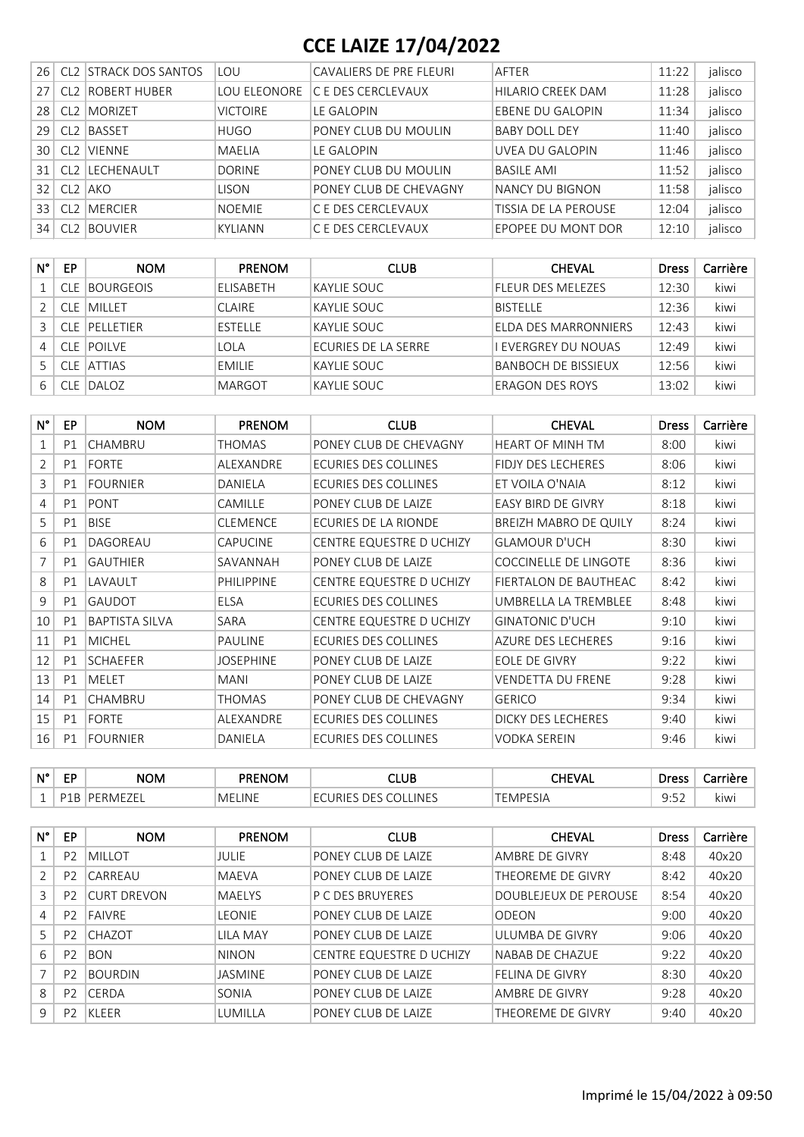## **CCE LAIZE 17/04/2022**

| 26 I            | CI2             | <b>STRACK DOS SANTOS</b> | LOU             | CAVALIERS DE PRE FLEURI       | AFTER                       | 11:22 | jalisco |
|-----------------|-----------------|--------------------------|-----------------|-------------------------------|-----------------------------|-------|---------|
| 27 <sup>1</sup> | CL2             | ROBERT HUBER             | LOU ELEONORE    | IC E DES CERCLEVAUX           | <b>HILARIO CREEK DAM</b>    | 11:28 | jalisco |
| 28              | CL <sub>2</sub> | <b>MORIZET</b>           | <b>VICTOIRE</b> | LE GALOPIN                    | <b>EBENE DU GALOPIN</b>     | 11:34 | jalisco |
| 29 I            | CL <sub>2</sub> | <b>BASSET</b>            | <b>HUGO</b>     | PONEY CLUB DU MOULIN          | <b>BABY DOLL DEY</b>        | 11:40 | jalisco |
| 30 <sup>1</sup> | CL <sub>2</sub> | VIENNE                   | <b>MAELIA</b>   | LE GALOPIN                    | UVEA DU GALOPIN             | 11:46 | jalisco |
| 31              | CL <sub>2</sub> | <b>LECHENAULT</b>        | <b>DORINE</b>   | PONEY CLUB DU MOULIN          | <b>BASILE AMI</b>           | 11:52 | jalisco |
| 32 <sup>1</sup> |                 | CL2 AKO                  | <b>LISON</b>    | <b>PONEY CLUB DE CHEVAGNY</b> | NANCY DU BIGNON             | 11:58 | jalisco |
| 33 I            | CI2             | <b>MERCIER</b>           | <b>NOEMIE</b>   | C E DES CERCLEVAUX            | <b>TISSIA DE LA PEROUSE</b> | 12:04 | jalisco |
| 34              | CL <sub>2</sub> | <b>BOUVIER</b>           | KYLIANN         | IC E DES CERCLEVAUX           | EPOPEE DU MONT DOR          | 12:10 | jalisco |

| N°             | EP         | <b>NOM</b>       | <b>PRENOM</b>    | <b>CLUB</b>         | <b>CHEVAL</b>              | <b>Dress</b> | Carrière |
|----------------|------------|------------------|------------------|---------------------|----------------------------|--------------|----------|
|                | <b>CLE</b> | <b>BOURGEOIS</b> | <b>ELISABETH</b> | KAYLIE SOUC         | <b>FLEUR DES MELEZES</b>   | 12:30        | kiwi     |
|                |            | CLE MILLET       | CLAIRE           | KAYLIE SOUC         | <b>BISTELLE</b>            | 12:36        | kiwi     |
|                |            | CLE PELLETIER    | <b>ESTELLE</b>   | KAYLIE SOUC         | ELDA DES MARRONNIERS       | 12:43        | kiwi     |
| $\overline{4}$ | CLE I      | <b>POILVE</b>    | LOLA             | ECURIES DE LA SERRE | I EVERGREY DU NOUAS        | 12:49        | kiwi     |
|                |            | CLE ATTIAS       | EMILIE           | KAYLIE SOUC         | <b>BANBOCH DE BISSIEUX</b> | 12:56        | kiwi     |
| 6.             | CLE.       | <b>IDALOZ</b>    | MARGOT           | KAYLIE SOUC         | <b>ERAGON DES ROYS</b>     | 13:02        | kiwi     |

| N°             | EP        | <b>NOM</b>            | <b>PRENOM</b>     | <b>CLUB</b>              | <b>CHEVAL</b>                | <b>Dress</b> | Carrière |
|----------------|-----------|-----------------------|-------------------|--------------------------|------------------------------|--------------|----------|
|                | P1        | <b>CHAMBRU</b>        | THOMAS            | PONEY CLUB DE CHEVAGNY   | <b>HEART OF MINH TM</b>      | 8:00         | kiwi     |
| $\overline{2}$ | P1        | <b>FORTE</b>          | ALEXANDRE         | ECURIES DES COLLINES     | <b>FIDJY DES LECHERES</b>    | 8:06         | kiwi     |
| 3              | P1        | <b>FOURNIER</b>       | DANIELA           | ECURIES DES COLLINES     | ET VOILA O'NAIA              | 8:12         | kiwi     |
| 4              | P1        | PONT                  | <b>CAMILLE</b>    | PONEY CLUB DE LAIZE      | <b>EASY BIRD DE GIVRY</b>    | 8:18         | kiwi     |
| 5              | P1        | <b>BISE</b>           | <b>CLEMENCE</b>   | ECURIES DE LA RIONDE     | <b>BREIZH MABRO DE QUILY</b> | 8:24         | kiwi     |
| 6              | P1        | DAGOREAU              | <b>CAPUCINE</b>   | CENTRE EQUESTRE D UCHIZY | <b>GLAMOUR D'UCH</b>         | 8:30         | kiwi     |
| 7              | P1        | <b>GAUTHIER</b>       | SAVANNAH          | PONEY CLUB DE LAIZE      | COCCINELLE DE LINGOTE        | 8:36         | kiwi     |
| 8              | P1        | <b>LAVAULT</b>        | <b>PHILIPPINE</b> | CENTRE EQUESTRE D UCHIZY | FIERTALON DE BAUTHEAC        | 8:42         | kiwi     |
| 9              | P1        | <b>GAUDOT</b>         | <b>ELSA</b>       | ECURIES DES COLLINES     | UMBRELLA LA TREMBLEE         | 8:48         | kiwi     |
| 10             | P1        | <b>BAPTISTA SILVA</b> | SARA              | CENTRE EQUESTRE D UCHIZY | <b>GINATONIC D'UCH</b>       | 9:10         | kiwi     |
| 11             | P1        | <b>MICHEL</b>         | <b>PAULINE</b>    | ECURIES DES COLLINES     | <b>AZURE DES LECHERES</b>    | 9:16         | kiwi     |
| 12             | P1        | <b>SCHAEFER</b>       | <b>JOSEPHINE</b>  | PONEY CLUB DE LAIZE      | EOLE DE GIVRY                | 9:22         | kiwi     |
| 13             | P1        | MELET                 | <b>MANI</b>       | PONEY CLUB DE LAIZE      | <b>VENDETTA DU FRENE</b>     | 9:28         | kiwi     |
| 14             | P1        | <b>CHAMBRU</b>        | <b>THOMAS</b>     | PONEY CLUB DE CHEVAGNY   | <b>GERICO</b>                | 9:34         | kiwi     |
| 15             | P1        | FORTE                 | ALEXANDRE         | ECURIES DES COLLINES     | <b>DICKY DES LECHERES</b>    | 9:40         | kiwi     |
| 16             | <b>P1</b> | <b>FOURNIER</b>       | DANIELA           | ECURIES DES COLLINES     | VODKA SEREIN                 | 9:46         | kiwi     |

| N°.      | <b>CD</b><br>-    | <b>NOM</b>        | ים סנ<br>MH<br>JМ        | CLUE       | .<br>, ni       | <b>Dress</b> |      |
|----------|-------------------|-------------------|--------------------------|------------|-----------------|--------------|------|
| <b>.</b> | $\mathbf{a}$<br>. | $N/I \vdash$<br>◡ | <b>NAF</b><br><b>INI</b> | UNE.<br>៲ͱ | $\cdot$ IV II P | <u></u>      | kiwi |

| N° | EP             | <b>NOM</b>         | <b>PRENOM</b>  | <b>CLUB</b>                | <b>CHEVAL</b>          | <b>Dress</b> | Carrière |
|----|----------------|--------------------|----------------|----------------------------|------------------------|--------------|----------|
|    | P <sub>2</sub> | <b>MILLOT</b>      | JULIE          | <b>PONEY CLUB DE LAIZE</b> | AMBRE DE GIVRY         | 8:48         | 40x20    |
|    | P <sub>2</sub> | CARREAU            | MAEVA          | PONEY CLUB DE LAIZE        | THEOREME DE GIVRY      | 8:42         | 40x20    |
| 3  | P <sub>2</sub> | <b>CURT DREVON</b> | <b>MAELYS</b>  | P C DES BRUYERES           | DOUBLEJEUX DE PEROUSE  | 8:54         | 40x20    |
| 4  | P <sub>2</sub> | FAIVRE             | LEONIE         | <b>PONEY CLUB DE LAIZE</b> | ODEON                  | 9:00         | 40x20    |
| 5  | P <sub>2</sub> | <b>CHAZOT</b>      | LILA MAY       | <b>PONEY CLUB DE LAIZE</b> | ULUMBA DE GIVRY        | 9:06         | 40x20    |
| 6  | P <sub>2</sub> | <b>BON</b>         | <b>NINON</b>   | CENTRE EQUESTRE D UCHIZY   | NABAB DE CHAZUE        | 9:22         | 40x20    |
|    | P <sub>2</sub> | <b>BOURDIN</b>     | <b>JASMINE</b> | PONEY CLUB DE LAIZE        | <b>FELINA DE GIVRY</b> | 8:30         | 40x20    |
| 8  | P <sub>2</sub> | <b>CERDA</b>       | SONIA          | <b>PONEY CLUB DE LAIZE</b> | AMBRE DE GIVRY         | 9:28         | 40x20    |
| 9  | P <sub>2</sub> | KLEER              | LUMILLA        | <b>PONEY CLUB DE LAIZE</b> | THEOREME DE GIVRY      | 9:40         | 40x20    |